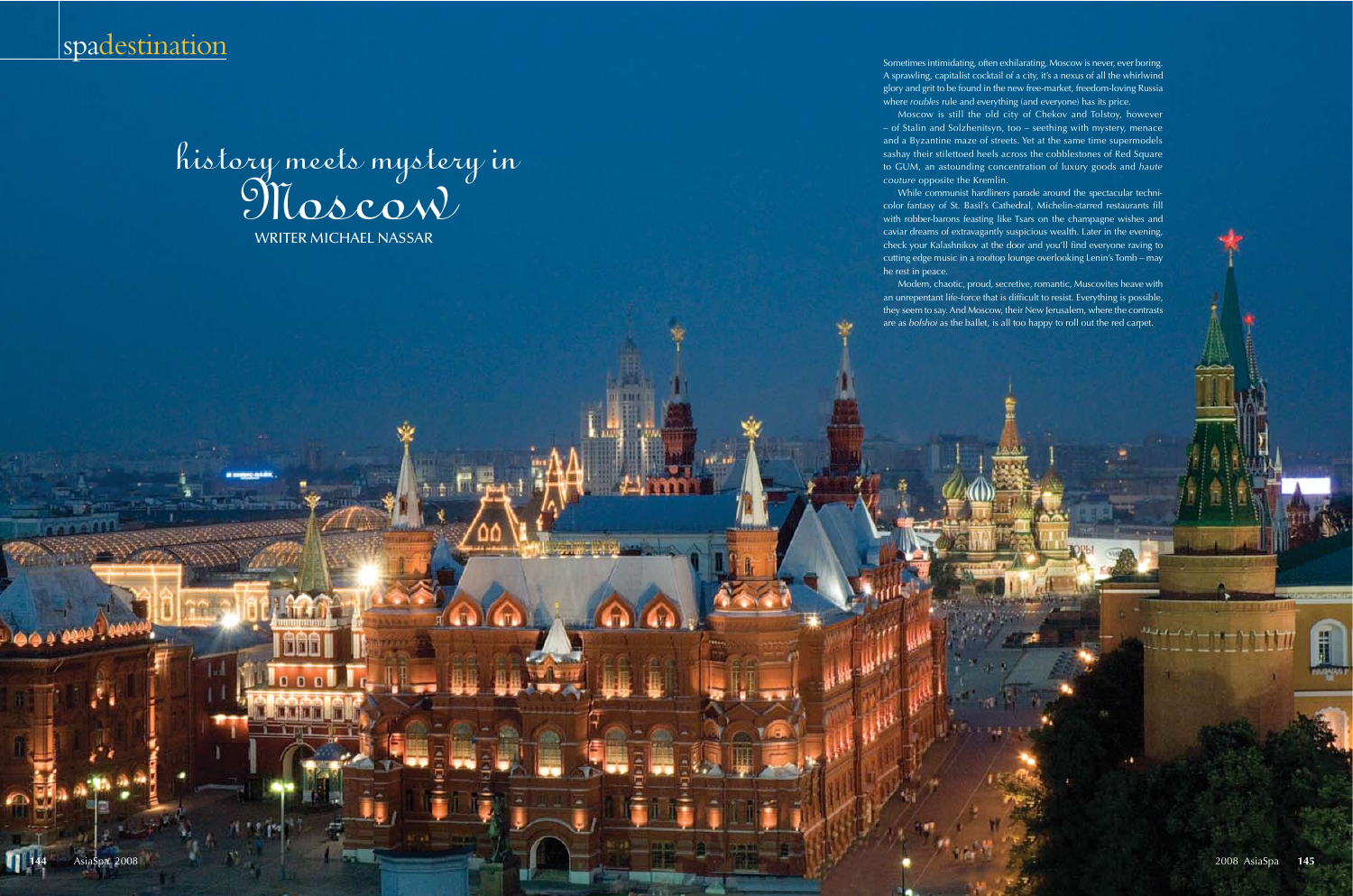



Sometimes intimidating, often exhilarating, Moscow is never, ever boring. A sprawling, capitalist cocktail of a city, it's a nexus of all the whirlwind glory and grit to be found in the new free-market, freedom-loving Russia where *roubles* rule and everything (and everyone) has its price.

Moscow is still the old city of Chekov and Tolstoy, however – of Stalin and Solzhenitsyn, too – seething with mystery, menace and a Byzantine maze of streets. Yet at the same time supermodels sashay their stilettoed heels across the cobblestones of Red Square to GUM, an astounding concentration of luxury goods and *haute couture* opposite the Kremlin.

While communist hardliners parade around the spectacular technicolor fantasy of St. Basil's Cathedral, Michelin-starred restaurants fill with robber-barons feasting like Tsars on the champagne wishes and caviar dreams of extravagantly suspicious wealth. Later in the evening, check your Kalashnikov at the door and you'll find everyone raving to cutting edge music in a rooftop lounge overlooking Lenin's Tomb – may

he rest in peace.

Modern, chaotic, proud, secretive, romantic, Muscovites heave with an unrepentant life-force that is difficult to resist. Everything is possible, they seem to say. And Moscow, their New Jerusalem, where the contrasts are as *bolshoi* as the ballet, is all too happy to roll out the red carpet.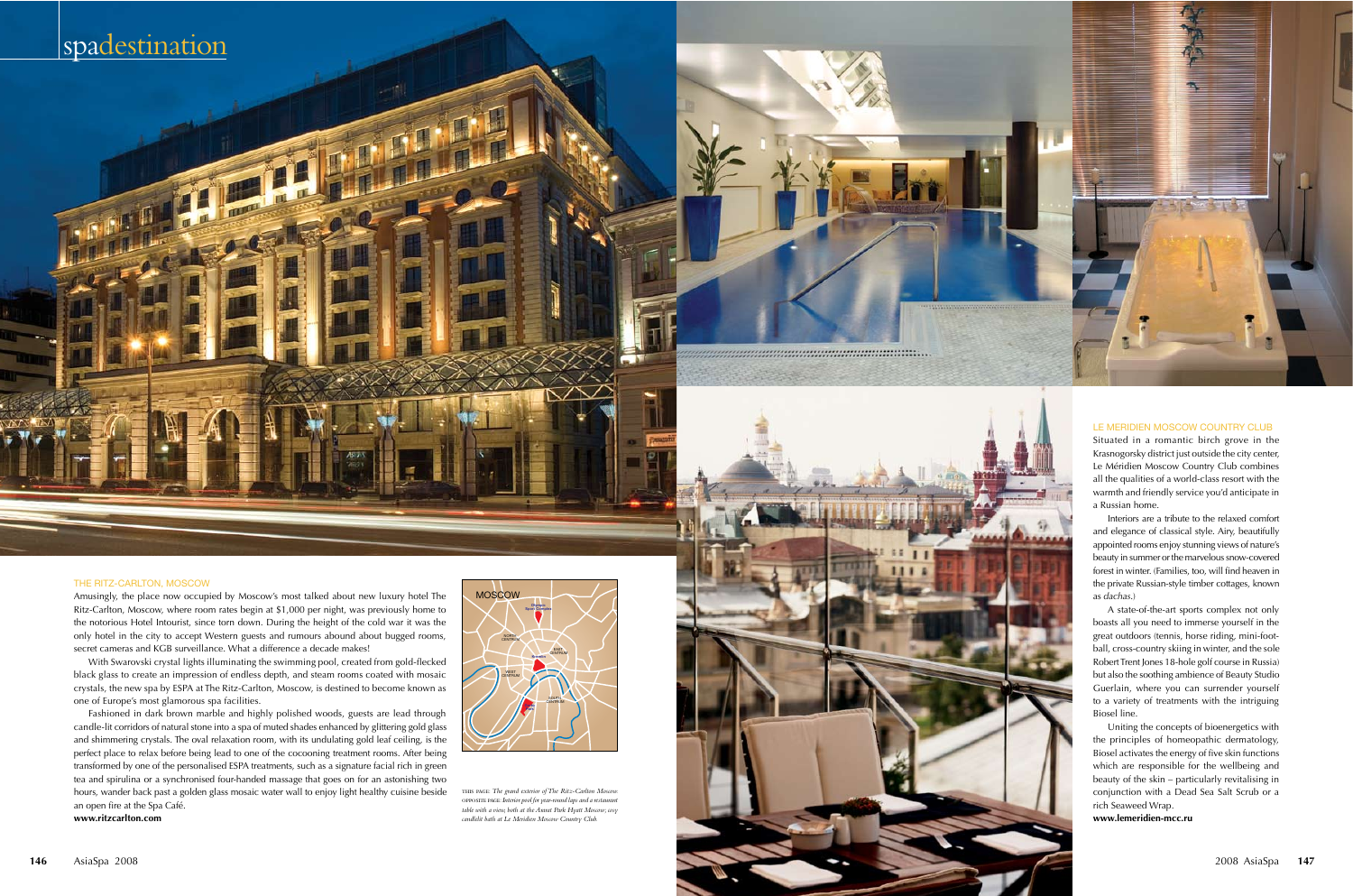# spadestination

# THE RITZ-CARLTON, MOSCOW

Amusingly, the place now occupied by Moscow's most talked about new luxury hotel The Ritz-Carlton, Moscow, where room rates begin at \$1,000 per night, was previously home to the notorious Hotel Intourist, since torn down. During the height of the cold war it was the only hotel in the city to accept Western guests and rumours abound about bugged rooms, secret cameras and KGB surveillance. What a difference a decade makes!

THE REAL

With Swarovski crystal lights illuminating the swimming pool, created from gold-flecked black glass to create an impression of endless depth, and steam rooms coated with mosaic crystals, the new spa by ESPA at The Ritz-Carlton, Moscow, is destined to become known as one of Europe's most glamorous spa facilities.



Fashioned in dark brown marble and highly polished woods, guests are lead through candle-lit corridors of natural stone into a spa of muted shades enhanced by glittering gold glass and shimmering crystals. The oval relaxation room, with its undulating gold leaf ceiling, is the perfect place to relax before being lead to one of the cocooning treatment rooms. After being transformed by one of the personalised ESPA treatments, such as a signature facial rich in green tea and spirulina or a synchronised four-handed massage that goes on for an astonishing two hours, wander back past a golden glass mosaic water wall to enjoy light healthy cuisine beside an open fire at the Spa Café. **www.ritzcarlton.com**

this page: *The grand exterior of The Ritz-Carlton Moscow.*  opposite page: *Interior pool for year-round laps and a restaurant table with a view, both at the Ararat Park Hyatt Moscow; cosy candlelit bath at Le Meridien Moscow Country Club.*

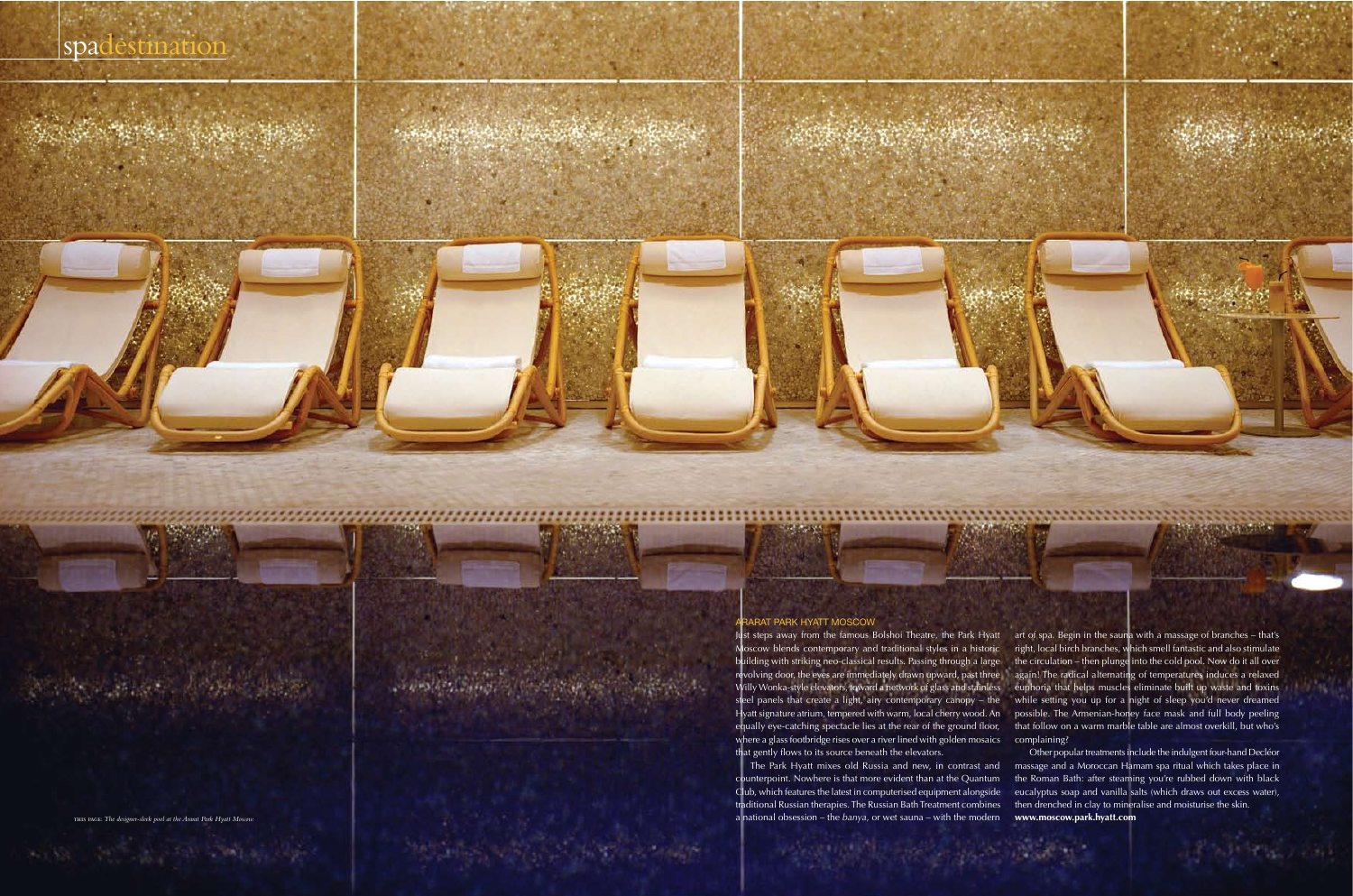**CONTRACTOR** 

**148** AsiaSpa 2008 2008 AsiaSpa **149**

**大学的研究 人名英格兰人名** 

# ARARAT PARK HYATT MOSCOW

The Park Hyatt mixes old Russia and new, in contrast and counterpoint. Nowhere is that more evident than at the Quantum Club, which features the latest in computerised equipment alongside traditional Russian therapies. The Russian Bath Treatment combines a national obsession – the *banya*, or wet sauna – with the modern traditional Kussian therapies. The Kussian Bath Treatment complies then drenched in clay to miner,<br>a national obsession – the *banya*, or wet sauna – with the modern **www.moscow.park.hyatt.com**<br>a national obsession – the

Moscow blends contemporary and traditional styles in a historic building with striking neo-classical results. Passing through a large revolving door, the eyes are immediately drawn upward, past three Willy Wonka-style elevators, toward a network of glass and stainless steel panels that create a light, airy contemporary canopy – the Hyatt signature atrium, tempered with warm, local cherry wood. An equally eye-catching spectacle lies at the rear of the ground floor, where a glass footbridge rises over a river lined with golden mosaics that gently flows to its source beneath the elevators.

Other popular treatments include the indulgent four-hand Decléor massage and a Moroccan Hamam spa ritual which takes place in the Roman Bath: after steaming you're rubbed down with black eucalyptus soap and vanilla salts (which draws out excess water), then drenched in clay to mineralise and moisturise the skin.

Just steps away from the famous Bolshoi Theatre, the Park Hyatt art of spa. Begin in the sauna with a massage of branches – that's right, local birch branches, which smell fantastic and also stimulate the circulation – then plunge into the cold pool. Now do it all over again! The radical alternating of temperatures induces a relaxed euphoria that helps muscles eliminate built up waste and toxins while setting you up for a night of sleep you'd never dreamed possible. The Armenian-honey face mask and full body peeling that follow on a warm marble table are almost overkill, but who's complaining?